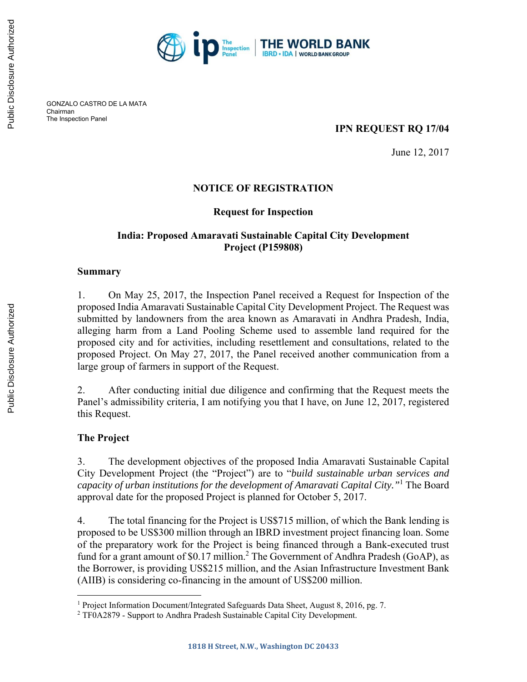

GONZALO CASTRO DE LA MATA Chairman The Inspection Panel

## **IPN REQUEST RQ 17/04**

June 12, 2017

## **NOTICE OF REGISTRATION**

### **Request for Inspection**

## **India: Proposed Amaravati Sustainable Capital City Development Project (P159808)**

#### **Summary**

1. On May 25, 2017, the Inspection Panel received a Request for Inspection of the proposed India Amaravati Sustainable Capital City Development Project. The Request was submitted by landowners from the area known as Amaravati in Andhra Pradesh, India, alleging harm from a Land Pooling Scheme used to assemble land required for the proposed city and for activities, including resettlement and consultations, related to the proposed Project. On May 27, 2017, the Panel received another communication from a large group of farmers in support of the Request.

2. After conducting initial due diligence and confirming that the Request meets the Panel's admissibility criteria, I am notifying you that I have, on June 12, 2017, registered this Request.

## **The Project**

 $\overline{a}$ 

3. The development objectives of the proposed India Amaravati Sustainable Capital City Development Project (the "Project") are to "*build sustainable urban services and capacity of urban institutions for the development of Amaravati Capital City."*<sup>1</sup> The Board approval date for the proposed Project is planned for October 5, 2017.

4. The total financing for the Project is US\$715 million, of which the Bank lending is proposed to be US\$300 million through an IBRD investment project financing loan. Some of the preparatory work for the Project is being financed through a Bank-executed trust fund for a grant amount of \$0.17 million.<sup>2</sup> The Government of Andhra Pradesh (GoAP), as the Borrower, is providing US\$215 million, and the Asian Infrastructure Investment Bank (AIIB) is considering co-financing in the amount of US\$200 million.

<sup>&</sup>lt;sup>1</sup> Project Information Document/Integrated Safeguards Data Sheet, August 8, 2016, pg. 7.<br><sup>2</sup> TE0 A2879 - Support to Andhra Pradesh Sustainable Capital City Development

<sup>&</sup>lt;sup>2</sup> TF0A2879 - Support to Andhra Pradesh Sustainable Capital City Development.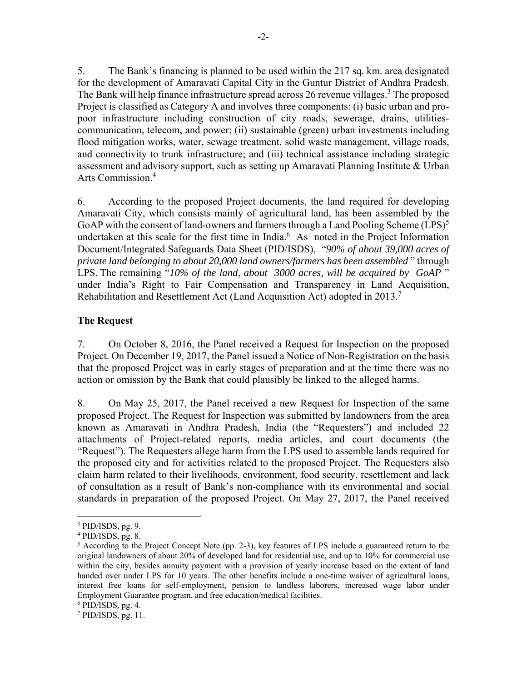5. The Bank's financing is planned to be used within the 217 sq. km. area designated for the development of Amaravati Capital City in the Guntur District of Andhra Pradesh. The Bank will help finance infrastructure spread across 26 revenue villages.<sup>3</sup> The proposed Project is classified as Category A and involves three components: (i) basic urban and propoor infrastructure including construction of city roads, sewerage, drains, utilitiescommunication, telecom, and power; (ii) sustainable (green) urban investments including flood mitigation works, water, sewage treatment, solid waste management, village roads, and connectivity to trunk infrastructure; and (iii) technical assistance including strategic assessment and advisory support, such as setting up Amaravati Planning Institute & Urban Arts Commission.<sup>4</sup>

6. According to the proposed Project documents, the land required for developing Amaravati City, which consists mainly of agricultural land, has been assembled by the GoAP with the consent of land-owners and farmers through a Land Pooling Scheme  $(LPS)^5$ undertaken at this scale for the first time in India. $<sup>6</sup>$  As noted in the Project Information</sup> Document/Integrated Safeguards Data Sheet (PID/ISDS), "*90% of about 39,000 acres of private land belonging to about 20,000 land owners/farmers has been assembled* " through LPS. The remaining "*10% of the land, about 3000 acres, will be acquired by GoAP* " under India's Right to Fair Compensation and Transparency in Land Acquisition, Rehabilitation and Resettlement Act (Land Acquisition Act) adopted in 2013.<sup>7</sup>

## **The Request**

7. On October 8, 2016, the Panel received a Request for Inspection on the proposed Project. On December 19, 2017, the Panel issued a Notice of Non-Registration on the basis that the proposed Project was in early stages of preparation and at the time there was no action or omission by the Bank that could plausibly be linked to the alleged harms.

8. On May 25, 2017, the Panel received a new Request for Inspection of the same proposed Project. The Request for Inspection was submitted by landowners from the area known as Amaravati in Andhra Pradesh, India (the "Requesters") and included 22 attachments of Project-related reports, media articles, and court documents (the "Request"). The Requesters allege harm from the LPS used to assemble lands required for the proposed city and for activities related to the proposed Project. The Requesters also claim harm related to their livelihoods, environment, food security, resettlement and lack of consultation as a result of Bank's non-compliance with its environmental and social standards in preparation of the proposed Project. On May 27, 2017, the Panel received

 $\overline{a}$ 

 $3$  PID/ISDS, pg. 9.

<sup>4</sup> PID/ISDS, pg. 8.

 $5$  According to the Project Concept Note (pp. 2-3), key features of LPS include a guaranteed return to the original landowners of about 20% of developed land for residential use, and up to 10% for commercial use within the city, besides annuity payment with a provision of yearly increase based on the extent of land handed over under LPS for 10 years. The other benefits include a one-time waiver of agricultural loans, interest free loans for self-employment, pension to landless laborers, increased wage labor under Employment Guarantee program, and free education/medical facilities.

 $6$  PID/ISDS, pg. 4.

<sup>7</sup> PID/ISDS, pg. 11.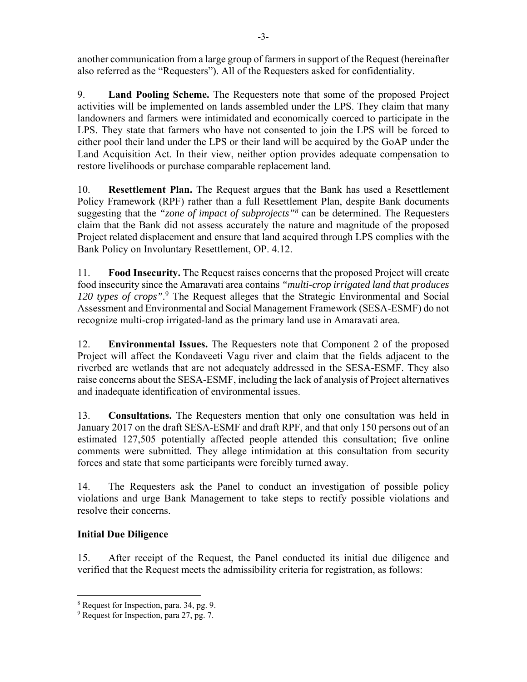another communication from a large group of farmers in support of the Request (hereinafter also referred as the "Requesters"). All of the Requesters asked for confidentiality.

9. **Land Pooling Scheme.** The Requesters note that some of the proposed Project activities will be implemented on lands assembled under the LPS. They claim that many landowners and farmers were intimidated and economically coerced to participate in the LPS. They state that farmers who have not consented to join the LPS will be forced to either pool their land under the LPS or their land will be acquired by the GoAP under the Land Acquisition Act. In their view, neither option provides adequate compensation to restore livelihoods or purchase comparable replacement land.

10. **Resettlement Plan.** The Request argues that the Bank has used a Resettlement Policy Framework (RPF) rather than a full Resettlement Plan, despite Bank documents suggesting that the *"zone of impact of subprojects"8* can be determined. The Requesters claim that the Bank did not assess accurately the nature and magnitude of the proposed Project related displacement and ensure that land acquired through LPS complies with the Bank Policy on Involuntary Resettlement, OP. 4.12.

11. **Food Insecurity.** The Request raises concerns that the proposed Project will create food insecurity since the Amaravati area contains *"multi-crop irrigated land that produces*  120 types of crops".<sup>9</sup> The Request alleges that the Strategic Environmental and Social Assessment and Environmental and Social Management Framework (SESA-ESMF) do not recognize multi-crop irrigated-land as the primary land use in Amaravati area.

12. **Environmental Issues.** The Requesters note that Component 2 of the proposed Project will affect the Kondaveeti Vagu river and claim that the fields adjacent to the riverbed are wetlands that are not adequately addressed in the SESA-ESMF. They also raise concerns about the SESA-ESMF, including the lack of analysis of Project alternatives and inadequate identification of environmental issues.

13. **Consultations.** The Requesters mention that only one consultation was held in January 2017 on the draft SESA-ESMF and draft RPF, and that only 150 persons out of an estimated 127,505 potentially affected people attended this consultation; five online comments were submitted. They allege intimidation at this consultation from security forces and state that some participants were forcibly turned away.

14. The Requesters ask the Panel to conduct an investigation of possible policy violations and urge Bank Management to take steps to rectify possible violations and resolve their concerns.

# **Initial Due Diligence**

 $\overline{a}$ 

15. After receipt of the Request, the Panel conducted its initial due diligence and verified that the Request meets the admissibility criteria for registration, as follows:

<sup>8</sup> Request for Inspection, para. 34, pg. 9.

<sup>&</sup>lt;sup>9</sup> Request for Inspection, para 27, pg. 7.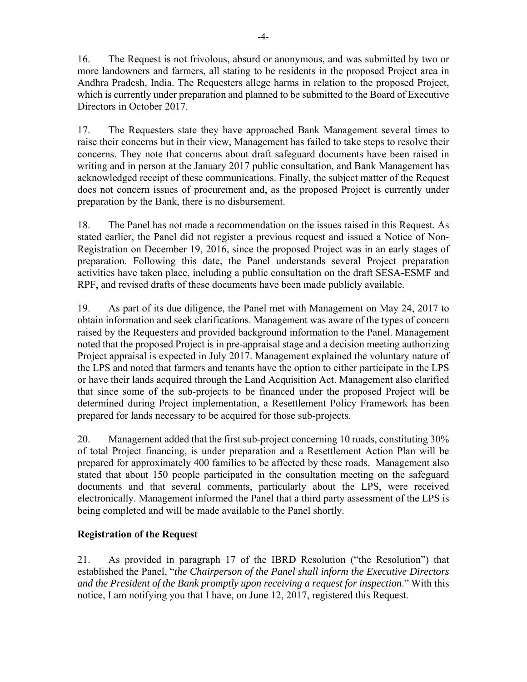16. The Request is not frivolous, absurd or anonymous, and was submitted by two or more landowners and farmers, all stating to be residents in the proposed Project area in Andhra Pradesh, India. The Requesters allege harms in relation to the proposed Project, which is currently under preparation and planned to be submitted to the Board of Executive Directors in October 2017.

17. The Requesters state they have approached Bank Management several times to raise their concerns but in their view, Management has failed to take steps to resolve their concerns. They note that concerns about draft safeguard documents have been raised in writing and in person at the January 2017 public consultation, and Bank Management has acknowledged receipt of these communications. Finally, the subject matter of the Request does not concern issues of procurement and, as the proposed Project is currently under preparation by the Bank, there is no disbursement.

18. The Panel has not made a recommendation on the issues raised in this Request. As stated earlier, the Panel did not register a previous request and issued a Notice of Non-Registration on December 19, 2016, since the proposed Project was in an early stages of preparation. Following this date, the Panel understands several Project preparation activities have taken place, including a public consultation on the draft SESA-ESMF and RPF, and revised drafts of these documents have been made publicly available.

19. As part of its due diligence, the Panel met with Management on May 24, 2017 to obtain information and seek clarifications. Management was aware of the types of concern raised by the Requesters and provided background information to the Panel. Management noted that the proposed Project is in pre-appraisal stage and a decision meeting authorizing Project appraisal is expected in July 2017. Management explained the voluntary nature of the LPS and noted that farmers and tenants have the option to either participate in the LPS or have their lands acquired through the Land Acquisition Act. Management also clarified that since some of the sub-projects to be financed under the proposed Project will be determined during Project implementation, a Resettlement Policy Framework has been prepared for lands necessary to be acquired for those sub-projects.

20. Management added that the first sub-project concerning 10 roads, constituting 30% of total Project financing, is under preparation and a Resettlement Action Plan will be prepared for approximately 400 families to be affected by these roads. Management also stated that about 150 people participated in the consultation meeting on the safeguard documents and that several comments, particularly about the LPS, were received electronically. Management informed the Panel that a third party assessment of the LPS is being completed and will be made available to the Panel shortly.

## **Registration of the Request**

21. As provided in paragraph 17 of the IBRD Resolution ("the Resolution") that established the Panel, "*the Chairperson of the Panel shall inform the Executive Directors and the President of the Bank promptly upon receiving a request for inspection*." With this notice, I am notifying you that I have, on June 12, 2017, registered this Request.